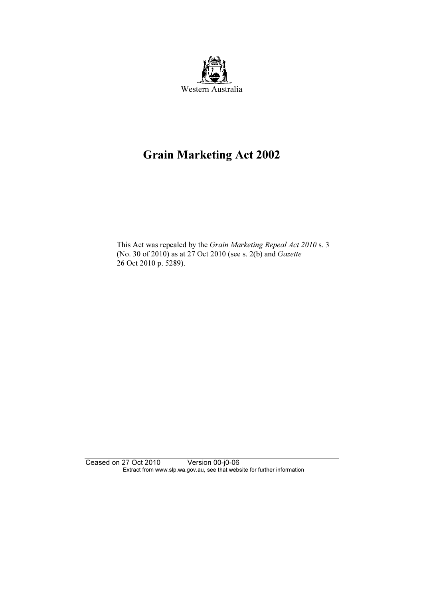

# Grain Marketing Act 2002

 This Act was repealed by the Grain Marketing Repeal Act 2010 s. 3 (No. 30 of 2010) as at 27 Oct 2010 (see s. 2(b) and Gazette 26 Oct 2010 p. 5289).

Ceased on 27 Oct 2010 Version 00-j0-06 Extract from www.slp.wa.gov.au, see that website for further information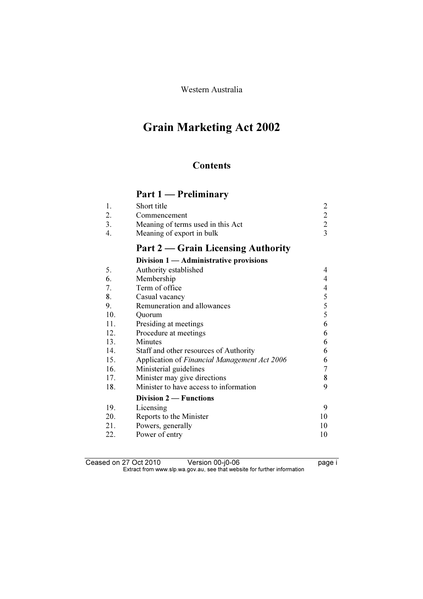Western Australia

# Grain Marketing Act 2002

# **Contents**

# Part 1 — Preliminary

| Short title                       |  |
|-----------------------------------|--|
| Commencement                      |  |
| Meaning of terms used in this Act |  |
| Meaning of export in bulk         |  |

# Part 2 – Grain Licensing Authority

#### Division 1 — Administrative provisions

| 5.  | Authority established                        | 4  |
|-----|----------------------------------------------|----|
| 6.  | Membership                                   | 4  |
| 7.  | Term of office                               | 4  |
| 8.  | Casual vacancy                               | 5  |
| 9.  | Remuneration and allowances                  | 5  |
| 10. | Ouorum                                       | 5  |
| 11. | Presiding at meetings                        | 6  |
| 12. | Procedure at meetings                        | 6  |
| 13. | <b>Minutes</b>                               | 6  |
| 14. | Staff and other resources of Authority       | 6  |
| 15. | Application of Financial Management Act 2006 | 6  |
| 16. | Ministerial guidelines                       | 7  |
| 17. | Minister may give directions                 | 8  |
| 18. | Minister to have access to information       | 9  |
|     | <b>Division 2 — Functions</b>                |    |
| 19. | Licensing                                    | 9  |
| 20. | Reports to the Minister                      | 10 |
| 21. | Powers, generally                            | 10 |
| 22. | Power of entry                               | 10 |

Ceased on 27 Oct 2010 Version 00-j0-06 Version 00-j0-06  $\mathbf{F}$  from which was the set that we besite for further information  $\mathbf{F}$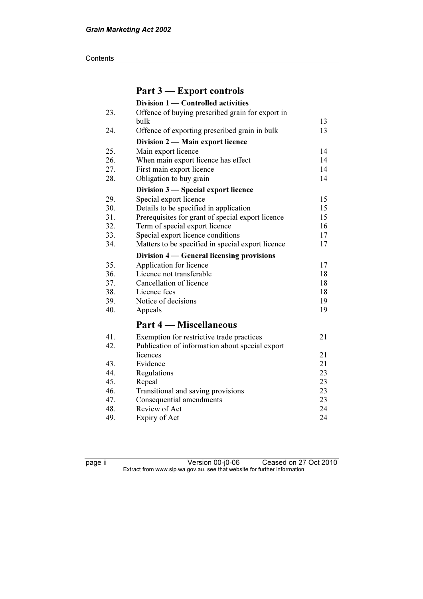#### **Contents**

| Part 3 – Export controls                          |                                                                                  |
|---------------------------------------------------|----------------------------------------------------------------------------------|
| Division 1 - Controlled activities                |                                                                                  |
| Offence of buying prescribed grain for export in  |                                                                                  |
| bulk                                              | 13                                                                               |
| Offence of exporting prescribed grain in bulk     | 13                                                                               |
| Division 2 - Main export licence                  |                                                                                  |
| Main export licence                               | 14                                                                               |
| When main export licence has effect               | 14                                                                               |
| First main export licence                         | 14                                                                               |
| Obligation to buy grain                           | 14                                                                               |
|                                                   |                                                                                  |
| Special export licence                            | 15                                                                               |
| Details to be specified in application            | 15                                                                               |
| Prerequisites for grant of special export licence | 15                                                                               |
| Term of special export licence                    | 16                                                                               |
| Special export licence conditions                 | 17                                                                               |
| Matters to be specified in special export licence | 17                                                                               |
| Division 4 — General licensing provisions         |                                                                                  |
| Application for licence                           | 17                                                                               |
| Licence not transferable                          | 18                                                                               |
| Cancellation of licence                           | 18                                                                               |
| Licence fees                                      | 18                                                                               |
| Notice of decisions                               | 19                                                                               |
| Appeals                                           | 19                                                                               |
| Part 4 – Miscellaneous                            |                                                                                  |
|                                                   | 21                                                                               |
| Publication of information about special export   |                                                                                  |
| licences                                          | 21                                                                               |
| Evidence                                          | 21                                                                               |
| Regulations                                       | 23                                                                               |
| Repeal                                            | 23                                                                               |
| Transitional and saving provisions                | 23                                                                               |
| Consequential amendments                          | 23                                                                               |
| Review of Act                                     | 24                                                                               |
| Expiry of Act                                     | 24                                                                               |
|                                                   | Division 3 - Special export licence<br>Exemption for restrictive trade practices |

page ii Version 00-j0-06 Ceased on 27 Oct 2010  $\mathbf{F}$  from which was the set that we besite for further information  $\mathbf{F}$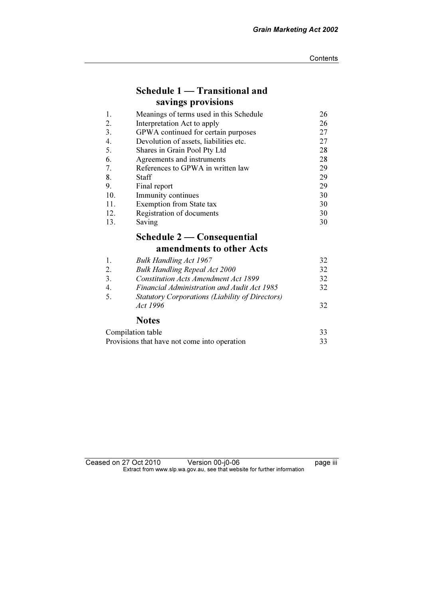# Schedule 1 — Transitional and savings provisions

| 1.  | Meanings of terms used in this Schedule | 26 |
|-----|-----------------------------------------|----|
| 2.  | Interpretation Act to apply             | 26 |
| 3.  | GPWA continued for certain purposes     | 27 |
| 4.  | Devolution of assets, liabilities etc.  | 27 |
| 5.  | Shares in Grain Pool Pty Ltd            | 28 |
| 6.  | Agreements and instruments              | 28 |
| 7.  | References to GPWA in written law       | 29 |
| 8.  | Staff                                   | 29 |
| 9.  | Final report                            | 29 |
| 10. | Immunity continues                      | 30 |
| 11. | Exemption from State tax                | 30 |
| 12. | Registration of documents               | 30 |
| 13. | Saving                                  | 30 |

# Schedule 2 — Consequential

# amendments to other Acts

| 1. | <b>Bulk Handling Act 1967</b>                                      | 32 |
|----|--------------------------------------------------------------------|----|
| 2. | <b>Bulk Handling Repeal Act 2000</b>                               | 32 |
| 3. | <b>Constitution Acts Amendment Act 1899</b>                        | 32 |
| 4. | Financial Administration and Audit Act 1985                        | 32 |
| 5. | <b>Statutory Corporations (Liability of Directors)</b><br>Act 1996 | 32 |
|    | <b>Notes</b>                                                       |    |
|    | Compilation toble                                                  | 22 |

| Compilation table                            |  |
|----------------------------------------------|--|
| Provisions that have not come into operation |  |

| Ceased on 27 Oct 2010 | Version 00-j0-06                                                         | <br>page III |
|-----------------------|--------------------------------------------------------------------------|--------------|
|                       | Extract from www.slp.wa.gov.au, see that website for further information |              |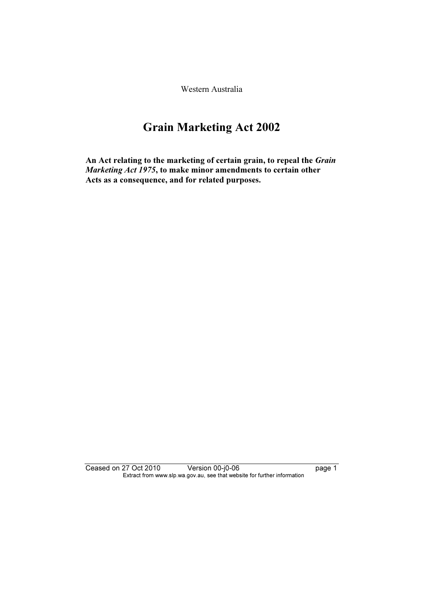Western Australia

# Grain Marketing Act 2002

An Act relating to the marketing of certain grain, to repeal the Grain Marketing Act 1975, to make minor amendments to certain other Acts as a consequence, and for related purposes.

Ceased on 27 Oct 2010 Version 00-j0-06 page 1 Extract from www.slp.wa.gov.au, see that website for further information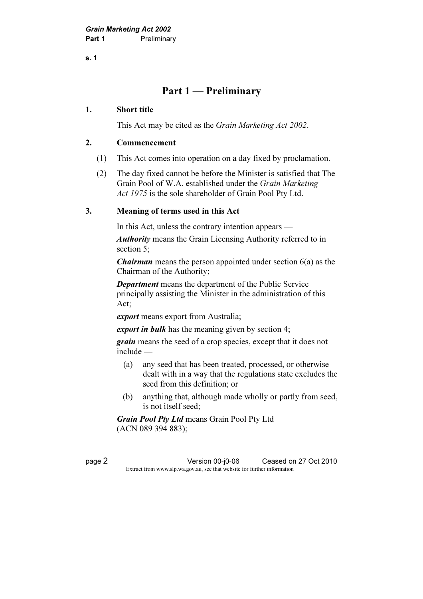s. 1

# Part 1 — Preliminary

#### 1. Short title

This Act may be cited as the Grain Marketing Act 2002.

#### 2. Commencement

- (1) This Act comes into operation on a day fixed by proclamation.
- (2) The day fixed cannot be before the Minister is satisfied that The Grain Pool of W.A. established under the Grain Marketing Act 1975 is the sole shareholder of Grain Pool Pty Ltd.

### 3. Meaning of terms used in this Act

In this Act, unless the contrary intention appears —

Authority means the Grain Licensing Authority referred to in section 5;

*Chairman* means the person appointed under section 6(a) as the Chairman of the Authority;

Department means the department of the Public Service principally assisting the Minister in the administration of this Act;

export means export from Australia;

export in bulk has the meaning given by section 4;

grain means the seed of a crop species, except that it does not include —

- (a) any seed that has been treated, processed, or otherwise dealt with in a way that the regulations state excludes the seed from this definition; or
- (b) anything that, although made wholly or partly from seed, is not itself seed;

Grain Pool Pty Ltd means Grain Pool Pty Ltd (ACN 089 394 883);

page 2 Version 00-j0-06 Ceased on 27 Oct 2010 Extract from www.slp.wa.gov.au, see that website for further information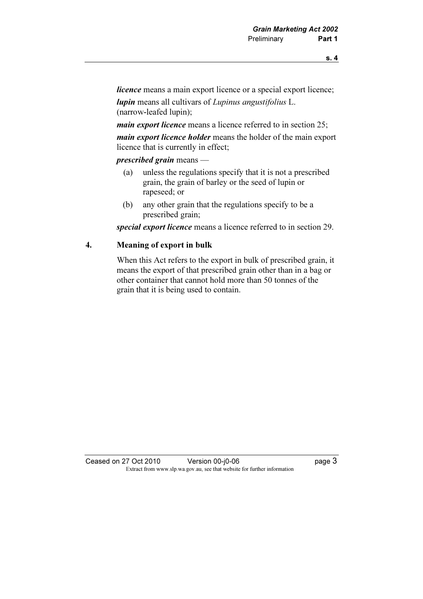*licence* means a main export licence or a special export licence;

lupin means all cultivars of Lupinus angustifolius L. (narrow-leafed lupin);

main export licence means a licence referred to in section 25;

main export licence holder means the holder of the main export licence that is currently in effect;

prescribed grain means —

- (a) unless the regulations specify that it is not a prescribed grain, the grain of barley or the seed of lupin or rapeseed; or
- (b) any other grain that the regulations specify to be a prescribed grain;

special export licence means a licence referred to in section 29.

#### 4. Meaning of export in bulk

 When this Act refers to the export in bulk of prescribed grain, it means the export of that prescribed grain other than in a bag or other container that cannot hold more than 50 tonnes of the grain that it is being used to contain.

Ceased on 27 Oct 2010 Version 00-j0-06 page 3 Extract from www.slp.wa.gov.au, see that website for further information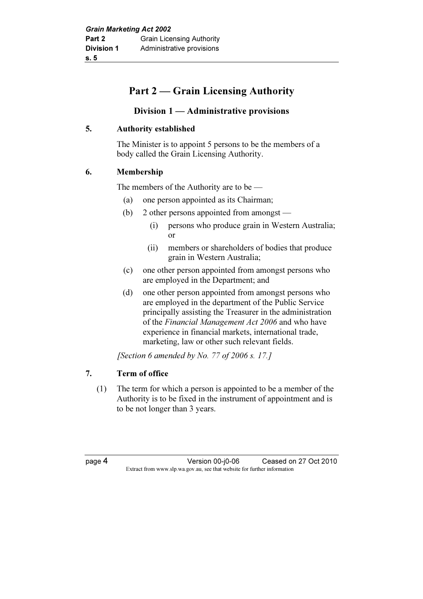# Part 2 — Grain Licensing Authority

# Division 1 — Administrative provisions

### 5. Authority established

 The Minister is to appoint 5 persons to be the members of a body called the Grain Licensing Authority.

### 6. Membership

The members of the Authority are to be —

- (a) one person appointed as its Chairman;
- (b) 2 other persons appointed from amongst
	- (i) persons who produce grain in Western Australia; or
	- (ii) members or shareholders of bodies that produce grain in Western Australia;
- (c) one other person appointed from amongst persons who are employed in the Department; and
- (d) one other person appointed from amongst persons who are employed in the department of the Public Service principally assisting the Treasurer in the administration of the Financial Management Act 2006 and who have experience in financial markets, international trade, marketing, law or other such relevant fields.

[Section 6 amended by No. 77 of 2006 s. 17.]

## 7. Term of office

 (1) The term for which a person is appointed to be a member of the Authority is to be fixed in the instrument of appointment and is to be not longer than 3 years.

page 4 Version 00-j0-06 Ceased on 27 Oct 2010 Extract from www.slp.wa.gov.au, see that website for further information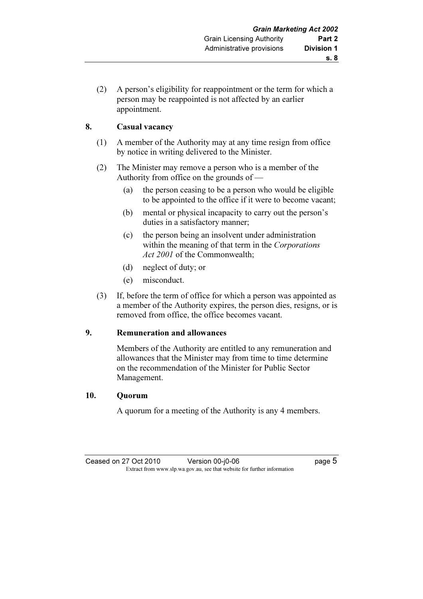(2) A person's eligibility for reappointment or the term for which a person may be reappointed is not affected by an earlier appointment.

# 8. Casual vacancy

- (1) A member of the Authority may at any time resign from office by notice in writing delivered to the Minister.
- (2) The Minister may remove a person who is a member of the Authority from office on the grounds of —
	- (a) the person ceasing to be a person who would be eligible to be appointed to the office if it were to become vacant;
	- (b) mental or physical incapacity to carry out the person's duties in a satisfactory manner;
	- (c) the person being an insolvent under administration within the meaning of that term in the Corporations Act 2001 of the Commonwealth;
	- (d) neglect of duty; or
	- (e) misconduct.
- (3) If, before the term of office for which a person was appointed as a member of the Authority expires, the person dies, resigns, or is removed from office, the office becomes vacant.

## 9. Remuneration and allowances

 Members of the Authority are entitled to any remuneration and allowances that the Minister may from time to time determine on the recommendation of the Minister for Public Sector Management.

## 10. Quorum

A quorum for a meeting of the Authority is any 4 members.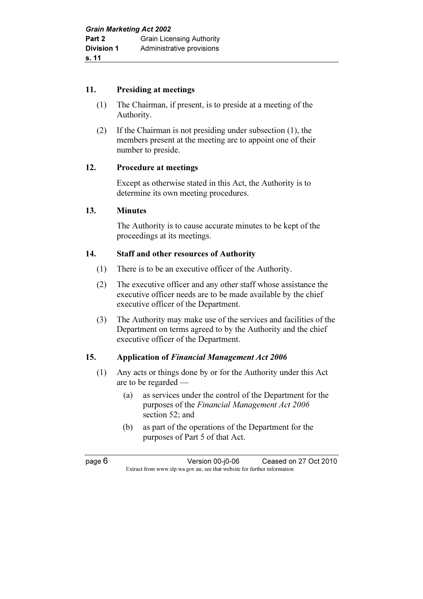#### 11. Presiding at meetings

- (1) The Chairman, if present, is to preside at a meeting of the Authority.
- (2) If the Chairman is not presiding under subsection (1), the members present at the meeting are to appoint one of their number to preside.

## 12. Procedure at meetings

 Except as otherwise stated in this Act, the Authority is to determine its own meeting procedures.

### 13. Minutes

 The Authority is to cause accurate minutes to be kept of the proceedings at its meetings.

### 14. Staff and other resources of Authority

- (1) There is to be an executive officer of the Authority.
- (2) The executive officer and any other staff whose assistance the executive officer needs are to be made available by the chief executive officer of the Department.
- (3) The Authority may make use of the services and facilities of the Department on terms agreed to by the Authority and the chief executive officer of the Department.

## 15. Application of Financial Management Act 2006

- (1) Any acts or things done by or for the Authority under this Act are to be regarded —
	- (a) as services under the control of the Department for the purposes of the Financial Management Act 2006 section 52; and
	- (b) as part of the operations of the Department for the purposes of Part 5 of that Act.

page 6 Version 00-j0-06 Ceased on 27 Oct 2010 Extract from www.slp.wa.gov.au, see that website for further information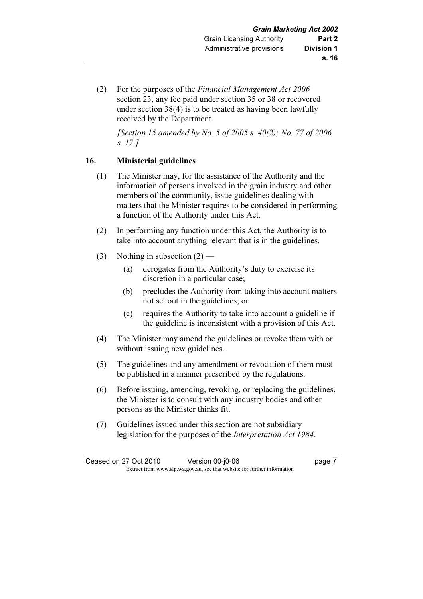(2) For the purposes of the Financial Management Act 2006 section 23, any fee paid under section 35 or 38 or recovered under section 38(4) is to be treated as having been lawfully received by the Department.

[Section 15 amended by No. 5 of 2005 s.  $40(2)$ ; No. 77 of 2006 s. 17.]

## 16. Ministerial guidelines

- (1) The Minister may, for the assistance of the Authority and the information of persons involved in the grain industry and other members of the community, issue guidelines dealing with matters that the Minister requires to be considered in performing a function of the Authority under this Act.
- (2) In performing any function under this Act, the Authority is to take into account anything relevant that is in the guidelines.
- (3) Nothing in subsection (2)
	- (a) derogates from the Authority's duty to exercise its discretion in a particular case;
	- (b) precludes the Authority from taking into account matters not set out in the guidelines; or
	- (c) requires the Authority to take into account a guideline if the guideline is inconsistent with a provision of this Act.
- (4) The Minister may amend the guidelines or revoke them with or without issuing new guidelines.
- (5) The guidelines and any amendment or revocation of them must be published in a manner prescribed by the regulations.
- (6) Before issuing, amending, revoking, or replacing the guidelines, the Minister is to consult with any industry bodies and other persons as the Minister thinks fit.
- (7) Guidelines issued under this section are not subsidiary legislation for the purposes of the Interpretation Act 1984.

Ceased on 27 Oct 2010 Version 00-j0-06 **by Ceased on 27 Oct 2010** Extract from www.slp.wa.gov.au, see that website for further information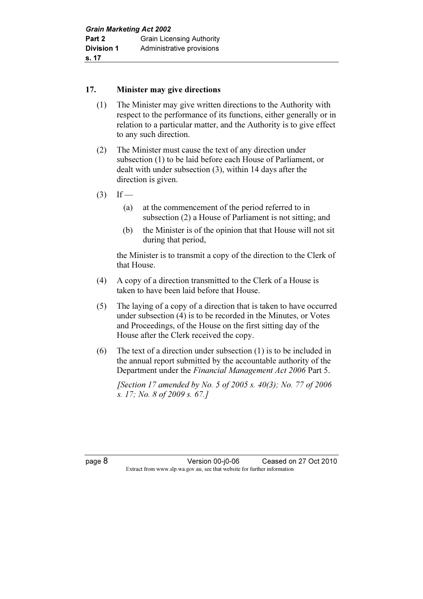#### 17. Minister may give directions

- (1) The Minister may give written directions to the Authority with respect to the performance of its functions, either generally or in relation to a particular matter, and the Authority is to give effect to any such direction.
- (2) The Minister must cause the text of any direction under subsection (1) to be laid before each House of Parliament, or dealt with under subsection (3), within 14 days after the direction is given.
- $(3)$  If
	- (a) at the commencement of the period referred to in subsection (2) a House of Parliament is not sitting; and
	- (b) the Minister is of the opinion that that House will not sit during that period,

 the Minister is to transmit a copy of the direction to the Clerk of that House.

- (4) A copy of a direction transmitted to the Clerk of a House is taken to have been laid before that House.
- (5) The laying of a copy of a direction that is taken to have occurred under subsection (4) is to be recorded in the Minutes, or Votes and Proceedings, of the House on the first sitting day of the House after the Clerk received the copy.
- (6) The text of a direction under subsection (1) is to be included in the annual report submitted by the accountable authority of the Department under the Financial Management Act 2006 Part 5.

[Section 17 amended by No. 5 of 2005 s.  $40(3)$ ; No. 77 of 2006 s. 17; No. 8 of 2009 s. 67.]

page 8 Version 00-j0-06 Ceased on 27 Oct 2010 Extract from www.slp.wa.gov.au, see that website for further information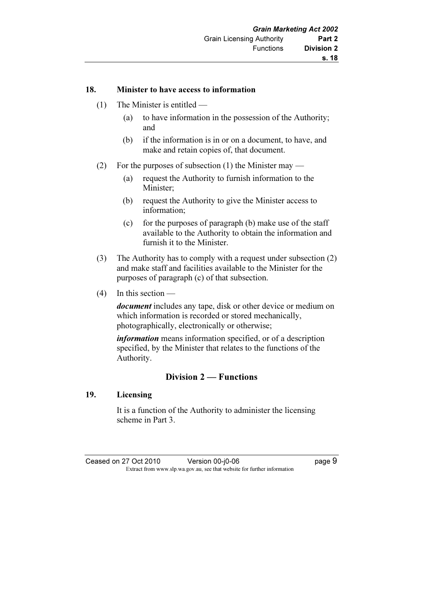#### 18. Minister to have access to information

- (1) The Minister is entitled
	- (a) to have information in the possession of the Authority; and
	- (b) if the information is in or on a document, to have, and make and retain copies of, that document.
- (2) For the purposes of subsection (1) the Minister may
	- (a) request the Authority to furnish information to the Minister;
	- (b) request the Authority to give the Minister access to information;
	- (c) for the purposes of paragraph  $(b)$  make use of the staff available to the Authority to obtain the information and furnish it to the Minister.
- (3) The Authority has to comply with a request under subsection (2) and make staff and facilities available to the Minister for the purposes of paragraph (c) of that subsection.
- (4) In this section —

document includes any tape, disk or other device or medium on which information is recorded or stored mechanically, photographically, electronically or otherwise;

information means information specified, or of a description specified, by the Minister that relates to the functions of the Authority.

# Division 2 — Functions

#### 19. Licensing

 It is a function of the Authority to administer the licensing scheme in Part 3.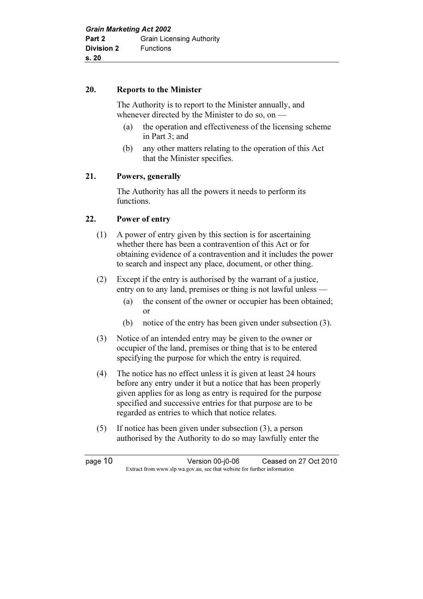#### 20. Reports to the Minister

 The Authority is to report to the Minister annually, and whenever directed by the Minister to do so, on —

- (a) the operation and effectiveness of the licensing scheme in Part 3; and
- (b) any other matters relating to the operation of this Act that the Minister specifies.

## 21. Powers, generally

 The Authority has all the powers it needs to perform its functions.

### 22. Power of entry

- (1) A power of entry given by this section is for ascertaining whether there has been a contravention of this Act or for obtaining evidence of a contravention and it includes the power to search and inspect any place, document, or other thing.
- (2) Except if the entry is authorised by the warrant of a justice, entry on to any land, premises or thing is not lawful unless —
	- (a) the consent of the owner or occupier has been obtained; or
	- (b) notice of the entry has been given under subsection (3).
- (3) Notice of an intended entry may be given to the owner or occupier of the land, premises or thing that is to be entered specifying the purpose for which the entry is required.
- (4) The notice has no effect unless it is given at least 24 hours before any entry under it but a notice that has been properly given applies for as long as entry is required for the purpose specified and successive entries for that purpose are to be regarded as entries to which that notice relates.
- (5) If notice has been given under subsection (3), a person authorised by the Authority to do so may lawfully enter the

page 10 Version 00-j0-06 Ceased on 27 Oct 2010 Extract from www.slp.wa.gov.au, see that website for further information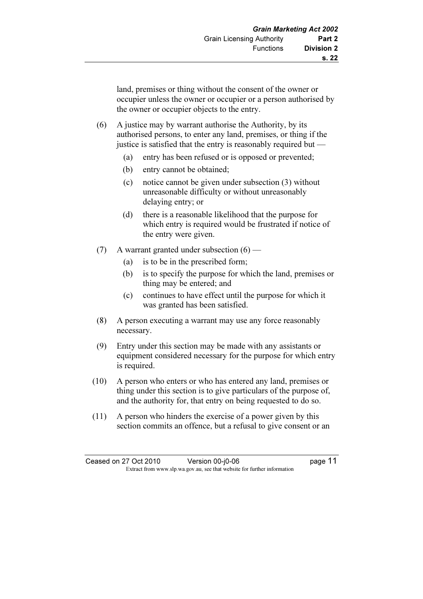land, premises or thing without the consent of the owner or occupier unless the owner or occupier or a person authorised by the owner or occupier objects to the entry.

- (6) A justice may by warrant authorise the Authority, by its authorised persons, to enter any land, premises, or thing if the justice is satisfied that the entry is reasonably required but —
	- (a) entry has been refused or is opposed or prevented;
	- (b) entry cannot be obtained;
	- (c) notice cannot be given under subsection (3) without unreasonable difficulty or without unreasonably delaying entry; or
	- (d) there is a reasonable likelihood that the purpose for which entry is required would be frustrated if notice of the entry were given.
- (7) A warrant granted under subsection  $(6)$ 
	- (a) is to be in the prescribed form;
	- (b) is to specify the purpose for which the land, premises or thing may be entered; and
	- (c) continues to have effect until the purpose for which it was granted has been satisfied.
- (8) A person executing a warrant may use any force reasonably necessary.
- (9) Entry under this section may be made with any assistants or equipment considered necessary for the purpose for which entry is required.
- (10) A person who enters or who has entered any land, premises or thing under this section is to give particulars of the purpose of, and the authority for, that entry on being requested to do so.
- (11) A person who hinders the exercise of a power given by this section commits an offence, but a refusal to give consent or an

Ceased on 27 Oct 2010 Version 00-j0-06 Page 11 Extract from www.slp.wa.gov.au, see that website for further information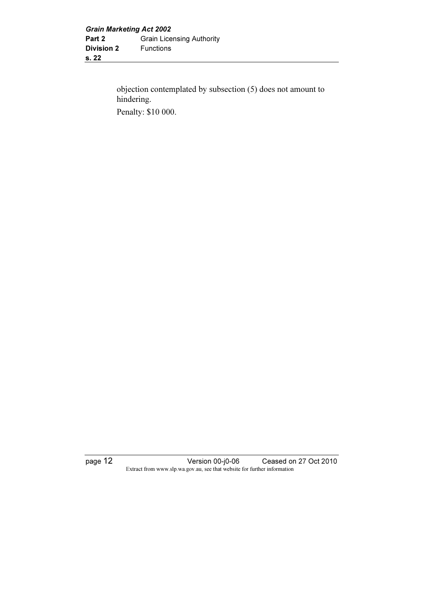objection contemplated by subsection (5) does not amount to hindering. Penalty: \$10 000.

page 12 Version 00-j0-06 Ceased on 27 Oct 2010 Extract from www.slp.wa.gov.au, see that website for further information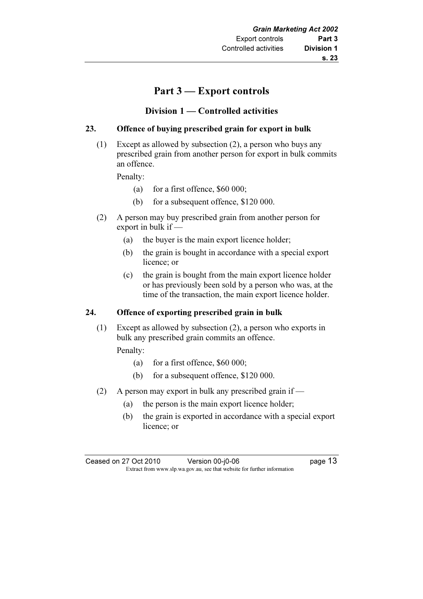# $\mathbf{P}$

# Division 1 — Controlled activities

## 23. Offence of buying prescribed grain for export in bulk

 (1) Except as allowed by subsection (2), a person who buys any prescribed grain from another person for export in bulk commits an offence.

Penalty:

- (a) for a first offence,  $$60,000$ ;
- (b) for a subsequent offence, \$120 000.
- (2) A person may buy prescribed grain from another person for export in bulk if —
	- (a) the buyer is the main export licence holder;
	- (b) the grain is bought in accordance with a special export licence; or
	- (c) the grain is bought from the main export licence holder or has previously been sold by a person who was, at the time of the transaction, the main export licence holder.

## 24. Offence of exporting prescribed grain in bulk

 (1) Except as allowed by subsection (2), a person who exports in bulk any prescribed grain commits an offence.

Penalty:

- (a) for a first offence,  $$60,000$ ;
- (b) for a subsequent offence, \$120 000.
- (2) A person may export in bulk any prescribed grain if
	- (a) the person is the main export licence holder;
	- (b) the grain is exported in accordance with a special export licence; or

Ceased on 27 Oct 2010 Version 00-j0-06 Page 13 Extract from www.slp.wa.gov.au, see that website for further information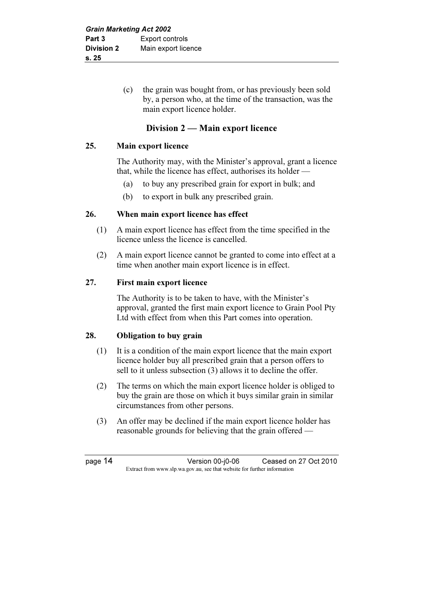(c) the grain was bought from, or has previously been sold by, a person who, at the time of the transaction, was the main export licence holder.

# Division 2 — Main export licence

### 25. Main export licence

 The Authority may, with the Minister's approval, grant a licence that, while the licence has effect, authorises its holder —

- (a) to buy any prescribed grain for export in bulk; and
- (b) to export in bulk any prescribed grain.

### 26. When main export licence has effect

- (1) A main export licence has effect from the time specified in the licence unless the licence is cancelled.
- (2) A main export licence cannot be granted to come into effect at a time when another main export licence is in effect.

### 27. First main export licence

 The Authority is to be taken to have, with the Minister's approval, granted the first main export licence to Grain Pool Pty Ltd with effect from when this Part comes into operation.

## 28. Obligation to buy grain

- (1) It is a condition of the main export licence that the main export licence holder buy all prescribed grain that a person offers to sell to it unless subsection (3) allows it to decline the offer.
- (2) The terms on which the main export licence holder is obliged to buy the grain are those on which it buys similar grain in similar circumstances from other persons.
- (3) An offer may be declined if the main export licence holder has reasonable grounds for believing that the grain offered —

page 14 Version 00-j0-06 Ceased on 27 Oct 2010 Extract from www.slp.wa.gov.au, see that website for further information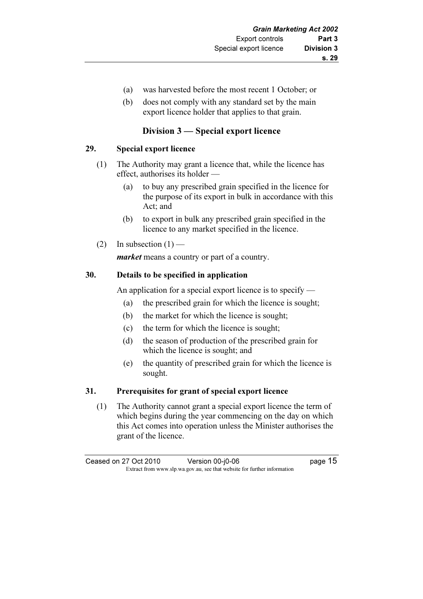- (a) was harvested before the most recent 1 October; or
- (b) does not comply with any standard set by the main export licence holder that applies to that grain.

# Division 3 — Special export licence

### 29. Special export licence

- (1) The Authority may grant a licence that, while the licence has effect, authorises its holder —
	- (a) to buy any prescribed grain specified in the licence for the purpose of its export in bulk in accordance with this Act; and
	- (b) to export in bulk any prescribed grain specified in the licence to any market specified in the licence.
- (2) In subsection  $(1)$  —

market means a country or part of a country.

### 30. Details to be specified in application

An application for a special export licence is to specify —

- (a) the prescribed grain for which the licence is sought;
- (b) the market for which the licence is sought;
- (c) the term for which the licence is sought;
- (d) the season of production of the prescribed grain for which the licence is sought; and
- (e) the quantity of prescribed grain for which the licence is sought.

#### 31. Prerequisites for grant of special export licence

 (1) The Authority cannot grant a special export licence the term of which begins during the year commencing on the day on which this Act comes into operation unless the Minister authorises the grant of the licence.

Ceased on 27 Oct 2010 Version 00-j0-06 **page 15** Extract from www.slp.wa.gov.au, see that website for further information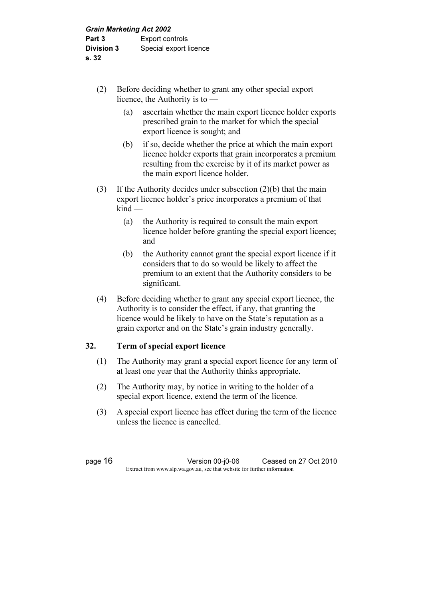- (2) Before deciding whether to grant any other special export licence, the Authority is to —
	- (a) ascertain whether the main export licence holder exports prescribed grain to the market for which the special export licence is sought; and
	- (b) if so, decide whether the price at which the main export licence holder exports that grain incorporates a premium resulting from the exercise by it of its market power as the main export licence holder.
- (3) If the Authority decides under subsection (2)(b) that the main export licence holder's price incorporates a premium of that kind —
	- (a) the Authority is required to consult the main export licence holder before granting the special export licence; and
	- (b) the Authority cannot grant the special export licence if it considers that to do so would be likely to affect the premium to an extent that the Authority considers to be significant.
- (4) Before deciding whether to grant any special export licence, the Authority is to consider the effect, if any, that granting the licence would be likely to have on the State's reputation as a grain exporter and on the State's grain industry generally.

# 32. Term of special export licence

- (1) The Authority may grant a special export licence for any term of at least one year that the Authority thinks appropriate.
- (2) The Authority may, by notice in writing to the holder of a special export licence, extend the term of the licence.
- (3) A special export licence has effect during the term of the licence unless the licence is cancelled.

page 16 Version 00-j0-06 Ceased on 27 Oct 2010 Extract from www.slp.wa.gov.au, see that website for further information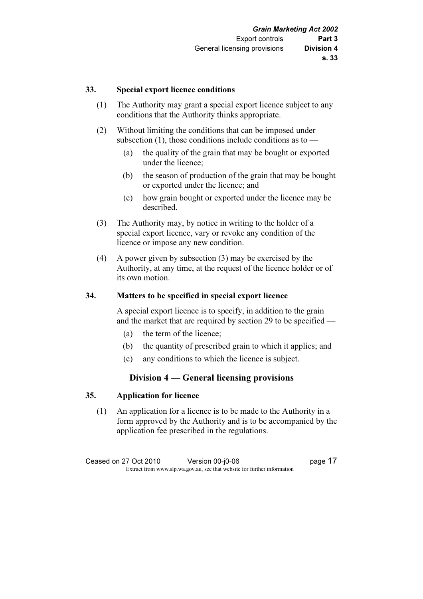#### 33. Special export licence conditions

- (1) The Authority may grant a special export licence subject to any conditions that the Authority thinks appropriate.
- (2) Without limiting the conditions that can be imposed under subsection  $(1)$ , those conditions include conditions as to —
	- (a) the quality of the grain that may be bought or exported under the licence;
	- (b) the season of production of the grain that may be bought or exported under the licence; and
	- (c) how grain bought or exported under the licence may be described.
- (3) The Authority may, by notice in writing to the holder of a special export licence, vary or revoke any condition of the licence or impose any new condition.
- (4) A power given by subsection (3) may be exercised by the Authority, at any time, at the request of the licence holder or of its own motion.

#### 34. Matters to be specified in special export licence

 A special export licence is to specify, in addition to the grain and the market that are required by section 29 to be specified —

- (a) the term of the licence;
- (b) the quantity of prescribed grain to which it applies; and
- (c) any conditions to which the licence is subject.

## Division 4 — General licensing provisions

#### 35. Application for licence

 (1) An application for a licence is to be made to the Authority in a form approved by the Authority and is to be accompanied by the application fee prescribed in the regulations.

Ceased on 27 Oct 2010 Version 00-j0-06 Page 17 Extract from www.slp.wa.gov.au, see that website for further information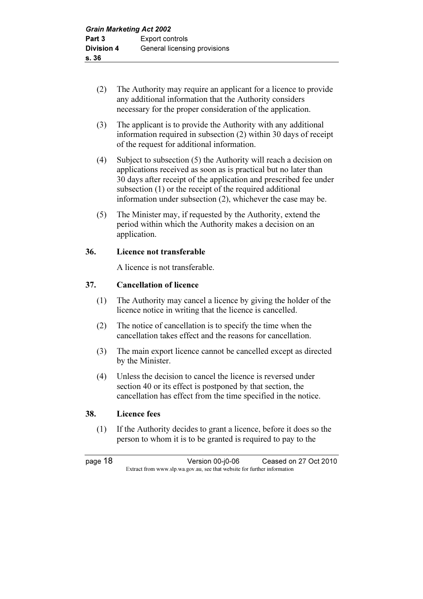- (2) The Authority may require an applicant for a licence to provide any additional information that the Authority considers necessary for the proper consideration of the application.
- (3) The applicant is to provide the Authority with any additional information required in subsection (2) within 30 days of receipt of the request for additional information.
- (4) Subject to subsection (5) the Authority will reach a decision on applications received as soon as is practical but no later than 30 days after receipt of the application and prescribed fee under subsection (1) or the receipt of the required additional information under subsection (2), whichever the case may be.
- (5) The Minister may, if requested by the Authority, extend the period within which the Authority makes a decision on an application.

### 36. Licence not transferable

A licence is not transferable.

### 37. Cancellation of licence

- (1) The Authority may cancel a licence by giving the holder of the licence notice in writing that the licence is cancelled.
- (2) The notice of cancellation is to specify the time when the cancellation takes effect and the reasons for cancellation.
- (3) The main export licence cannot be cancelled except as directed by the Minister.
- (4) Unless the decision to cancel the licence is reversed under section 40 or its effect is postponed by that section, the cancellation has effect from the time specified in the notice.

#### 38. Licence fees

 (1) If the Authority decides to grant a licence, before it does so the person to whom it is to be granted is required to pay to the

page 18 Version 00-j0-06 Ceased on 27 Oct 2010 Extract from www.slp.wa.gov.au, see that website for further information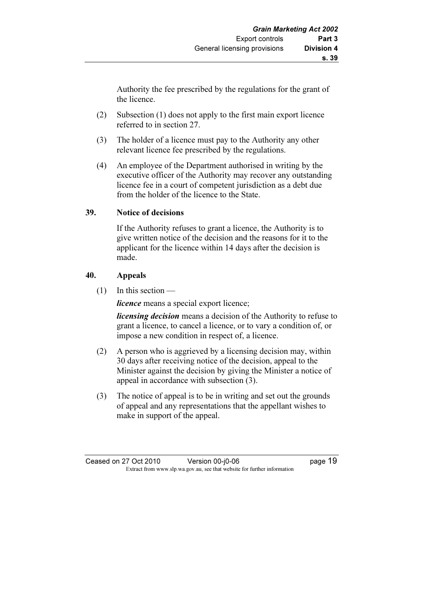Authority the fee prescribed by the regulations for the grant of the licence.

- (2) Subsection (1) does not apply to the first main export licence referred to in section 27.
- (3) The holder of a licence must pay to the Authority any other relevant licence fee prescribed by the regulations.
- (4) An employee of the Department authorised in writing by the executive officer of the Authority may recover any outstanding licence fee in a court of competent jurisdiction as a debt due from the holder of the licence to the State.

### 39. Notice of decisions

 If the Authority refuses to grant a licence, the Authority is to give written notice of the decision and the reasons for it to the applicant for the licence within 14 days after the decision is made.

### 40. Appeals

 $(1)$  In this section —

licence means a special export licence;

*licensing decision* means a decision of the Authority to refuse to grant a licence, to cancel a licence, or to vary a condition of, or impose a new condition in respect of, a licence.

- (2) A person who is aggrieved by a licensing decision may, within 30 days after receiving notice of the decision, appeal to the Minister against the decision by giving the Minister a notice of appeal in accordance with subsection (3).
- (3) The notice of appeal is to be in writing and set out the grounds of appeal and any representations that the appellant wishes to make in support of the appeal.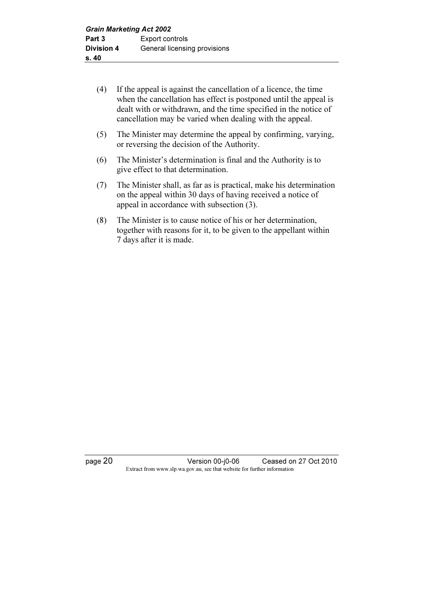- (4) If the appeal is against the cancellation of a licence, the time when the cancellation has effect is postponed until the appeal is dealt with or withdrawn, and the time specified in the notice of cancellation may be varied when dealing with the appeal.
- (5) The Minister may determine the appeal by confirming, varying, or reversing the decision of the Authority.
- (6) The Minister's determination is final and the Authority is to give effect to that determination.
- (7) The Minister shall, as far as is practical, make his determination on the appeal within 30 days of having received a notice of appeal in accordance with subsection (3).
- (8) The Minister is to cause notice of his or her determination, together with reasons for it, to be given to the appellant within 7 days after it is made.

page 20 Version 00-j0-06 Ceased on 27 Oct 2010 Extract from www.slp.wa.gov.au, see that website for further information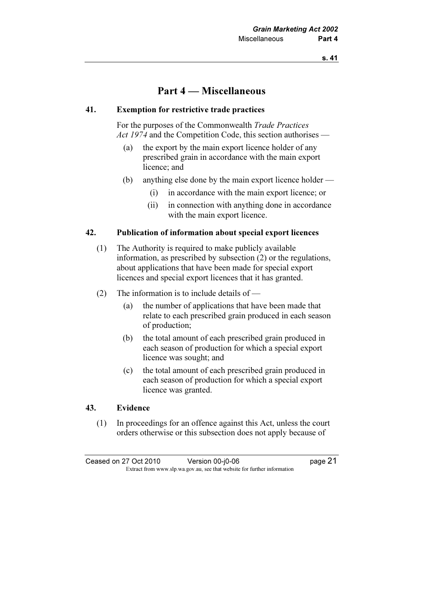# Part 4 — Miscellaneous

#### 41. Exemption for restrictive trade practices

 For the purposes of the Commonwealth Trade Practices Act 1974 and the Competition Code, this section authorises —

- (a) the export by the main export licence holder of any prescribed grain in accordance with the main export licence; and
- (b) anything else done by the main export licence holder
	- (i) in accordance with the main export licence; or
	- (ii) in connection with anything done in accordance with the main export licence.

#### 42. Publication of information about special export licences

- (1) The Authority is required to make publicly available information, as prescribed by subsection (2) or the regulations, about applications that have been made for special export licences and special export licences that it has granted.
- (2) The information is to include details of
	- (a) the number of applications that have been made that relate to each prescribed grain produced in each season of production;
	- (b) the total amount of each prescribed grain produced in each season of production for which a special export licence was sought; and
	- (c) the total amount of each prescribed grain produced in each season of production for which a special export licence was granted.

#### 43. Evidence

 (1) In proceedings for an offence against this Act, unless the court orders otherwise or this subsection does not apply because of

Ceased on 27 Oct 2010 Version 00-j0-06 Page 21 Extract from www.slp.wa.gov.au, see that website for further information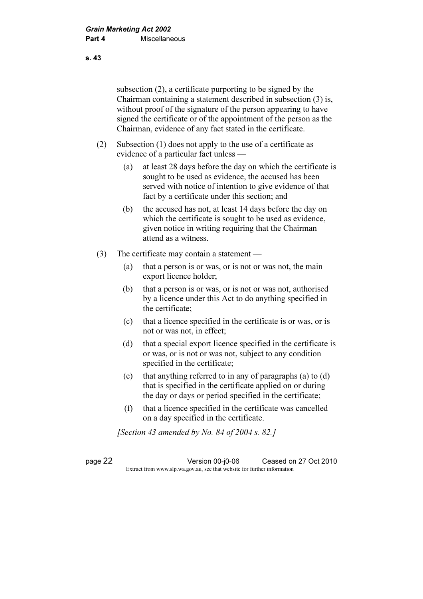subsection (2), a certificate purporting to be signed by the Chairman containing a statement described in subsection (3) is, without proof of the signature of the person appearing to have signed the certificate or of the appointment of the person as the Chairman, evidence of any fact stated in the certificate.

- (2) Subsection (1) does not apply to the use of a certificate as evidence of a particular fact unless —
	- (a) at least 28 days before the day on which the certificate is sought to be used as evidence, the accused has been served with notice of intention to give evidence of that fact by a certificate under this section; and
	- (b) the accused has not, at least 14 days before the day on which the certificate is sought to be used as evidence, given notice in writing requiring that the Chairman attend as a witness.
- (3) The certificate may contain a statement
	- (a) that a person is or was, or is not or was not, the main export licence holder;
	- (b) that a person is or was, or is not or was not, authorised by a licence under this Act to do anything specified in the certificate;
	- (c) that a licence specified in the certificate is or was, or is not or was not, in effect;
	- (d) that a special export licence specified in the certificate is or was, or is not or was not, subject to any condition specified in the certificate;
	- (e) that anything referred to in any of paragraphs (a) to (d) that is specified in the certificate applied on or during the day or days or period specified in the certificate;
	- (f) that a licence specified in the certificate was cancelled on a day specified in the certificate.

[Section 43 amended by No. 84 of 2004 s. 82.]

page 22 Version 00-j0-06 Ceased on 27 Oct 2010 Extract from www.slp.wa.gov.au, see that website for further information

s. 43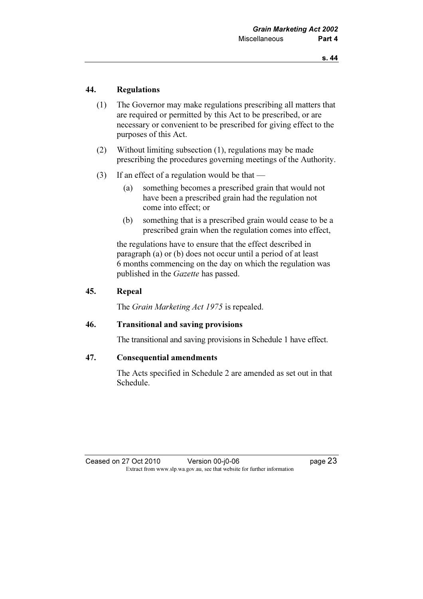### 44. Regulations

- (1) The Governor may make regulations prescribing all matters that are required or permitted by this Act to be prescribed, or are necessary or convenient to be prescribed for giving effect to the purposes of this Act.
- (2) Without limiting subsection (1), regulations may be made prescribing the procedures governing meetings of the Authority.
- (3) If an effect of a regulation would be that
	- (a) something becomes a prescribed grain that would not have been a prescribed grain had the regulation not come into effect; or
	- (b) something that is a prescribed grain would cease to be a prescribed grain when the regulation comes into effect,

 the regulations have to ensure that the effect described in paragraph (a) or (b) does not occur until a period of at least 6 months commencing on the day on which the regulation was published in the Gazette has passed.

### 45. Repeal

The *Grain Marketing Act 1975* is repealed.

#### 46. Transitional and saving provisions

The transitional and saving provisions in Schedule 1 have effect.

#### 47. Consequential amendments

 The Acts specified in Schedule 2 are amended as set out in that Schedule.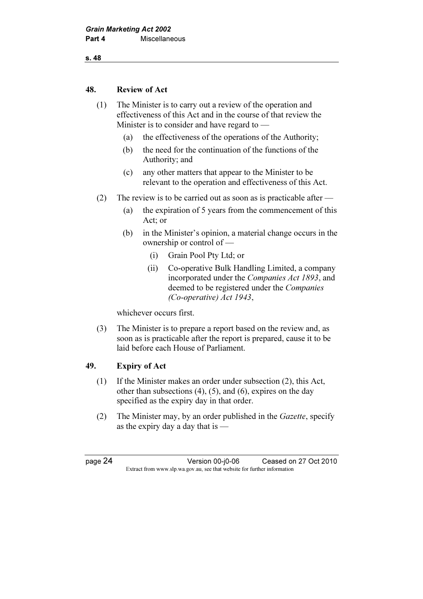s. 48

#### 48. Review of Act

 (1) The Minister is to carry out a review of the operation and effectiveness of this Act and in the course of that review the Minister is to consider and have regard to —

- (a) the effectiveness of the operations of the Authority;
- (b) the need for the continuation of the functions of the Authority; and
- (c) any other matters that appear to the Minister to be relevant to the operation and effectiveness of this Act.
- (2) The review is to be carried out as soon as is practicable after
	- (a) the expiration of 5 years from the commencement of this Act; or
	- (b) in the Minister's opinion, a material change occurs in the ownership or control of —
		- (i) Grain Pool Pty Ltd; or
		- (ii) Co-operative Bulk Handling Limited, a company incorporated under the Companies Act 1893, and deemed to be registered under the Companies (Co-operative) Act 1943,

whichever occurs first.

 (3) The Minister is to prepare a report based on the review and, as soon as is practicable after the report is prepared, cause it to be laid before each House of Parliament.

## 49. Expiry of Act

- (1) If the Minister makes an order under subsection (2), this Act, other than subsections  $(4)$ ,  $(5)$ , and  $(6)$ , expires on the day specified as the expiry day in that order.
- (2) The Minister may, by an order published in the Gazette, specify as the expiry day a day that is  $\overline{\phantom{a}}$

page 24 Version 00-j0-06 Ceased on 27 Oct 2010 Extract from www.slp.wa.gov.au, see that website for further information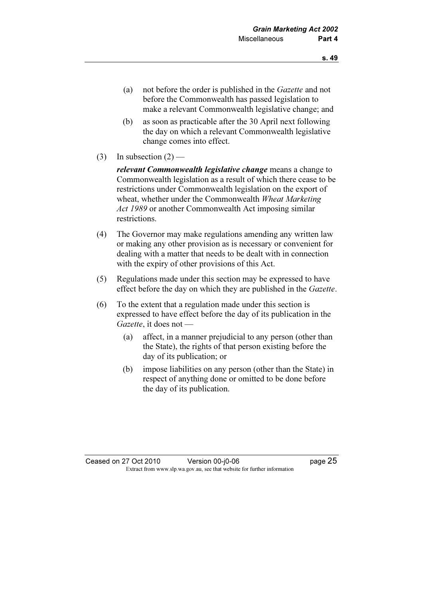- (a) not before the order is published in the Gazette and not before the Commonwealth has passed legislation to make a relevant Commonwealth legislative change; and
- (b) as soon as practicable after the 30 April next following the day on which a relevant Commonwealth legislative change comes into effect.
- (3) In subsection  $(2)$  —

relevant Commonwealth legislative change means a change to Commonwealth legislation as a result of which there cease to be restrictions under Commonwealth legislation on the export of wheat, whether under the Commonwealth Wheat Marketing Act 1989 or another Commonwealth Act imposing similar restrictions.

- (4) The Governor may make regulations amending any written law or making any other provision as is necessary or convenient for dealing with a matter that needs to be dealt with in connection with the expiry of other provisions of this Act.
- (5) Regulations made under this section may be expressed to have effect before the day on which they are published in the Gazette.
- (6) To the extent that a regulation made under this section is expressed to have effect before the day of its publication in the Gazette, it does not —
	- (a) affect, in a manner prejudicial to any person (other than the State), the rights of that person existing before the day of its publication; or
	- (b) impose liabilities on any person (other than the State) in respect of anything done or omitted to be done before the day of its publication.

#### Ceased on 27 Oct 2010 Version 00-j0-06 Page 25 Extract from www.slp.wa.gov.au, see that website for further information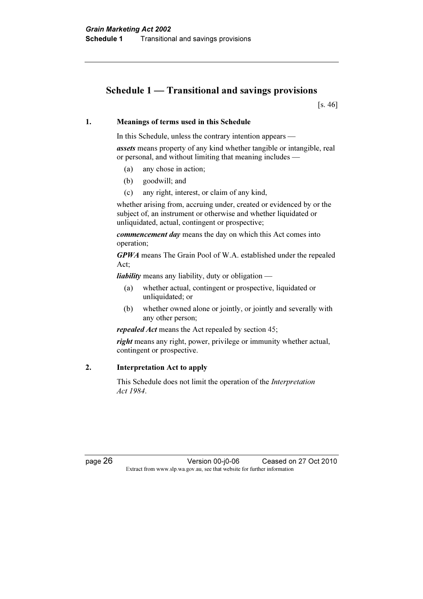# Schedule 1 — Transitional and savings provisions

[s. 46]

#### 1. Meanings of terms used in this Schedule

In this Schedule, unless the contrary intention appears —

assets means property of any kind whether tangible or intangible, real or personal, and without limiting that meaning includes —

- (a) any chose in action;
- (b) goodwill; and
- (c) any right, interest, or claim of any kind,

 whether arising from, accruing under, created or evidenced by or the subject of, an instrument or otherwise and whether liquidated or unliquidated, actual, contingent or prospective;

commencement day means the day on which this Act comes into operation;

GPWA means The Grain Pool of W.A. established under the repealed Act;

liability means any liability, duty or obligation —

- (a) whether actual, contingent or prospective, liquidated or unliquidated; or
- (b) whether owned alone or jointly, or jointly and severally with any other person;

repealed Act means the Act repealed by section 45;

right means any right, power, privilege or immunity whether actual, contingent or prospective.

#### 2. Interpretation Act to apply

 This Schedule does not limit the operation of the Interpretation Act 1984.

page 26 Version 00-j0-06 Ceased on 27 Oct 2010 Extract from www.slp.wa.gov.au, see that website for further information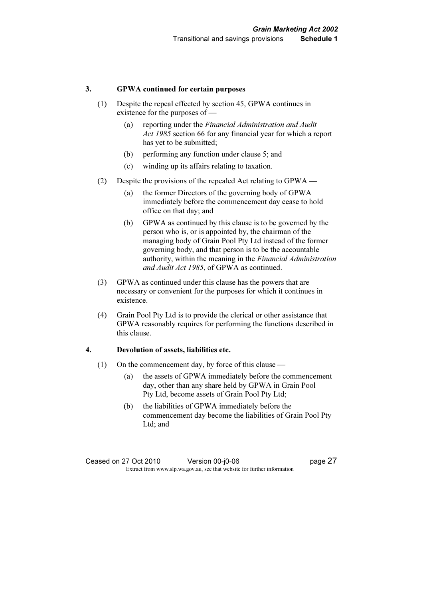#### 3. GPWA continued for certain purposes

- (1) Despite the repeal effected by section 45, GPWA continues in existence for the purposes of —
	- (a) reporting under the Financial Administration and Audit Act 1985 section 66 for any financial year for which a report has yet to be submitted;
	- (b) performing any function under clause 5; and
	- (c) winding up its affairs relating to taxation.
- (2) Despite the provisions of the repealed Act relating to GPWA
	- (a) the former Directors of the governing body of GPWA immediately before the commencement day cease to hold office on that day; and
	- (b) GPWA as continued by this clause is to be governed by the person who is, or is appointed by, the chairman of the managing body of Grain Pool Pty Ltd instead of the former governing body, and that person is to be the accountable authority, within the meaning in the Financial Administration and Audit Act 1985, of GPWA as continued.
- (3) GPWA as continued under this clause has the powers that are necessary or convenient for the purposes for which it continues in existence.
- (4) Grain Pool Pty Ltd is to provide the clerical or other assistance that GPWA reasonably requires for performing the functions described in this clause.

#### 4. Devolution of assets, liabilities etc.

- (1) On the commencement day, by force of this clause
	- (a) the assets of GPWA immediately before the commencement day, other than any share held by GPWA in Grain Pool Pty Ltd, become assets of Grain Pool Pty Ltd;
	- (b) the liabilities of GPWA immediately before the commencement day become the liabilities of Grain Pool Pty Ltd; and

Ceased on 27 Oct 2010 Version 00-j0-06 Page 27 Extract from www.slp.wa.gov.au, see that website for further information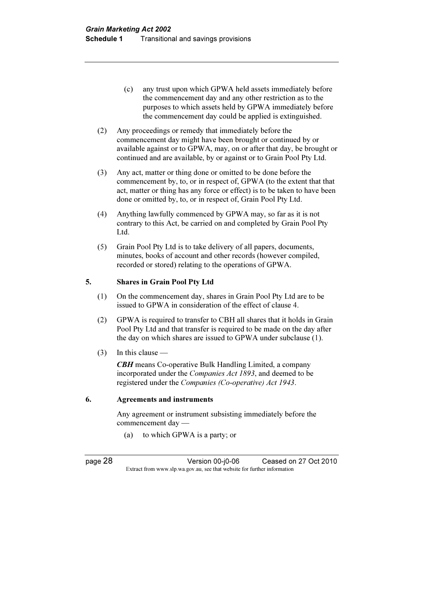- (c) any trust upon which GPWA held assets immediately before the commencement day and any other restriction as to the purposes to which assets held by GPWA immediately before the commencement day could be applied is extinguished.
- (2) Any proceedings or remedy that immediately before the commencement day might have been brought or continued by or available against or to GPWA, may, on or after that day, be brought or continued and are available, by or against or to Grain Pool Pty Ltd.
- (3) Any act, matter or thing done or omitted to be done before the commencement by, to, or in respect of, GPWA (to the extent that that act, matter or thing has any force or effect) is to be taken to have been done or omitted by, to, or in respect of, Grain Pool Pty Ltd.
- (4) Anything lawfully commenced by GPWA may, so far as it is not contrary to this Act, be carried on and completed by Grain Pool Pty Ltd.
- (5) Grain Pool Pty Ltd is to take delivery of all papers, documents, minutes, books of account and other records (however compiled, recorded or stored) relating to the operations of GPWA.

#### 5. Shares in Grain Pool Pty Ltd

- (1) On the commencement day, shares in Grain Pool Pty Ltd are to be issued to GPWA in consideration of the effect of clause 4.
- (2) GPWA is required to transfer to CBH all shares that it holds in Grain Pool Pty Ltd and that transfer is required to be made on the day after the day on which shares are issued to GPWA under subclause (1).
- $(3)$  In this clause —

CBH means Co-operative Bulk Handling Limited, a company incorporated under the Companies Act 1893, and deemed to be registered under the Companies (Co-operative) Act 1943.

#### 6. Agreements and instruments

 Any agreement or instrument subsisting immediately before the commencement day —

(a) to which GPWA is a party; or

page 28 Version 00-j0-06 Ceased on 27 Oct 2010 Extract from www.slp.wa.gov.au, see that website for further information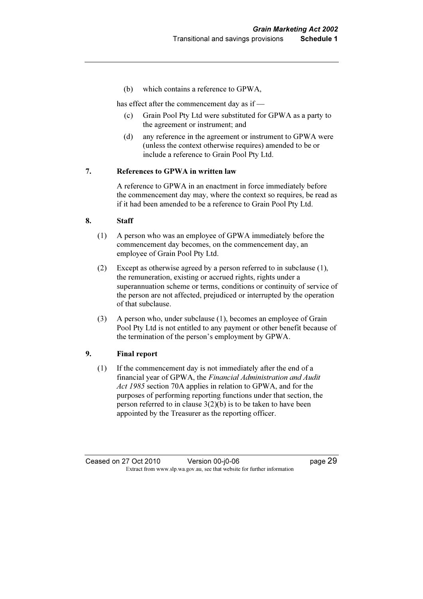(b) which contains a reference to GPWA,

has effect after the commencement day as if —

- (c) Grain Pool Pty Ltd were substituted for GPWA as a party to the agreement or instrument; and
- (d) any reference in the agreement or instrument to GPWA were (unless the context otherwise requires) amended to be or include a reference to Grain Pool Pty Ltd.

#### 7. References to GPWA in written law

 A reference to GPWA in an enactment in force immediately before the commencement day may, where the context so requires, be read as if it had been amended to be a reference to Grain Pool Pty Ltd.

#### 8. Staff

- (1) A person who was an employee of GPWA immediately before the commencement day becomes, on the commencement day, an employee of Grain Pool Pty Ltd.
- (2) Except as otherwise agreed by a person referred to in subclause (1), the remuneration, existing or accrued rights, rights under a superannuation scheme or terms, conditions or continuity of service of the person are not affected, prejudiced or interrupted by the operation of that subclause.
- (3) A person who, under subclause (1), becomes an employee of Grain Pool Pty Ltd is not entitled to any payment or other benefit because of the termination of the person's employment by GPWA.

#### 9. Final report

 (1) If the commencement day is not immediately after the end of a financial year of GPWA, the Financial Administration and Audit Act 1985 section 70A applies in relation to GPWA, and for the purposes of performing reporting functions under that section, the person referred to in clause  $3(2)(b)$  is to be taken to have been appointed by the Treasurer as the reporting officer.

Ceased on 27 Oct 2010 Version 00-j0-06 Page 29 Extract from www.slp.wa.gov.au, see that website for further information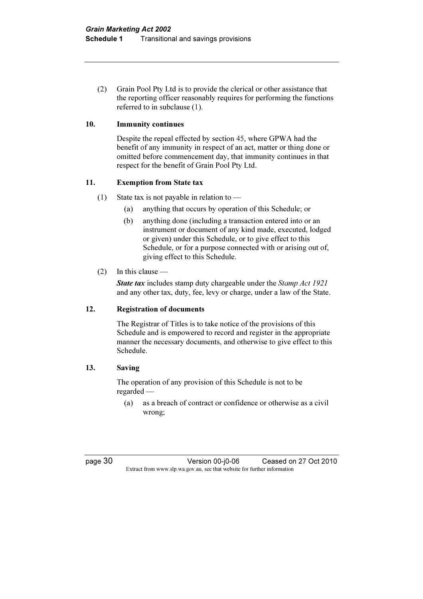(2) Grain Pool Pty Ltd is to provide the clerical or other assistance that the reporting officer reasonably requires for performing the functions referred to in subclause (1).

#### 10. Immunity continues

 Despite the repeal effected by section 45, where GPWA had the benefit of any immunity in respect of an act, matter or thing done or omitted before commencement day, that immunity continues in that respect for the benefit of Grain Pool Pty Ltd.

#### 11. Exemption from State tax

- (1) State tax is not payable in relation to  $-$ 
	- (a) anything that occurs by operation of this Schedule; or
	- (b) anything done (including a transaction entered into or an instrument or document of any kind made, executed, lodged or given) under this Schedule, or to give effect to this Schedule, or for a purpose connected with or arising out of, giving effect to this Schedule.

#### (2) In this clause —

State tax includes stamp duty chargeable under the Stamp Act 1921 and any other tax, duty, fee, levy or charge, under a law of the State.

#### 12. Registration of documents

 The Registrar of Titles is to take notice of the provisions of this Schedule and is empowered to record and register in the appropriate manner the necessary documents, and otherwise to give effect to this Schedule.

#### 13. Saving

 The operation of any provision of this Schedule is not to be regarded —

 (a) as a breach of contract or confidence or otherwise as a civil wrong;

page 30 Version 00-j0-06 Ceased on 27 Oct 2010 Extract from www.slp.wa.gov.au, see that website for further information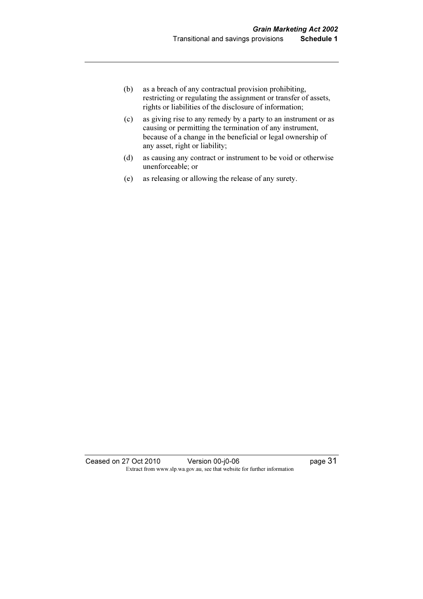- (b) as a breach of any contractual provision prohibiting, restricting or regulating the assignment or transfer of assets, rights or liabilities of the disclosure of information;
- (c) as giving rise to any remedy by a party to an instrument or as causing or permitting the termination of any instrument, because of a change in the beneficial or legal ownership of any asset, right or liability;
- (d) as causing any contract or instrument to be void or otherwise unenforceable; or
- (e) as releasing or allowing the release of any surety.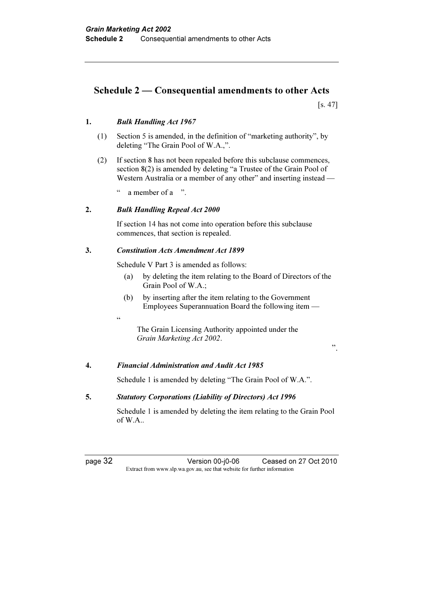# Schedule 2 — Consequential amendments to other Acts

[s. 47]

#### 1. Bulk Handling Act 1967

- (1) Section 5 is amended, in the definition of "marketing authority", by deleting "The Grain Pool of W.A.,".
- (2) If section 8 has not been repealed before this subclause commences, section 8(2) is amended by deleting "a Trustee of the Grain Pool of Western Australia or a member of any other" and inserting instead —

a member of a ".

#### 2. Bulk Handling Repeal Act 2000

 If section 14 has not come into operation before this subclause commences, that section is repealed.

#### 3. Constitution Acts Amendment Act 1899

Schedule V Part 3 is amended as follows:

- (a) by deleting the item relating to the Board of Directors of the Grain Pool of W.A.;
- (b) by inserting after the item relating to the Government Employees Superannuation Board the following item —
- <u>،</u>

 The Grain Licensing Authority appointed under the Grain Marketing Act 2002.

".

#### 4. Financial Administration and Audit Act 1985

Schedule 1 is amended by deleting "The Grain Pool of W.A.".

#### 5. Statutory Corporations (Liability of Directors) Act 1996

 Schedule 1 is amended by deleting the item relating to the Grain Pool of W.A..

page 32 Version 00-j0-06 Ceased on 27 Oct 2010 Extract from www.slp.wa.gov.au, see that website for further information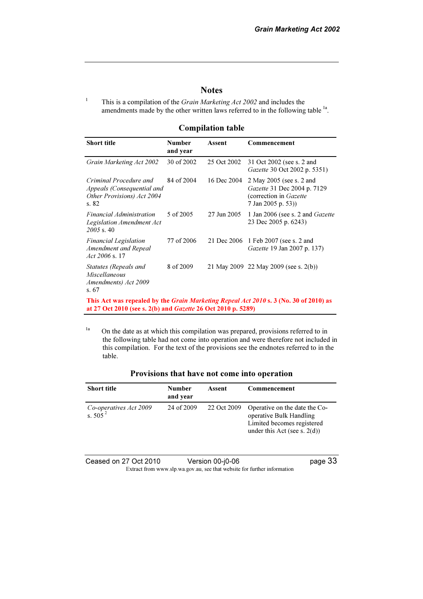#### **Notes**

 This is a compilation of the Grain Marketing Act 2002 and includes the amendments made by the other written laws referred to in the following table <sup>1a</sup>.

1

#### Compilation table

| <b>Short title</b>                                                                                                                                                  | <b>Number</b><br>and year | Assent      | Commencement                                                                                            |  |  |
|---------------------------------------------------------------------------------------------------------------------------------------------------------------------|---------------------------|-------------|---------------------------------------------------------------------------------------------------------|--|--|
| Grain Marketing Act 2002                                                                                                                                            | 30 of 2002                | 25 Oct 2002 | 31 Oct 2002 (see s. 2 and<br><i>Gazette</i> 30 Oct 2002 p. 5351)                                        |  |  |
| Criminal Procedure and<br>Appeals (Consequential and<br>Other Provisions) Act 2004<br>s. 82                                                                         | 84 of 2004                | 16 Dec 2004 | 2 May 2005 (see s. 2 and<br>Gazette 31 Dec 2004 p. 7129<br>(correction in Gazette<br>7 Jan 2005 p. 53)) |  |  |
| Financial Administration<br>Legislation Amendment Act<br>$2005$ s. 40                                                                                               | 5 of 2005                 | 27 Jun 2005 | 1 Jan 2006 (see s. 2 and Gazette<br>23 Dec 2005 p. 6243)                                                |  |  |
| <b>Financial Legislation</b><br>Amendment and Repeal<br>Act $2006$ s. 17                                                                                            | 77 of 2006                | 21 Dec 2006 | 1 Feb 2007 (see s. 2 and<br><i>Gazette</i> 19 Jan 2007 p. 137)                                          |  |  |
| Statutes (Repeals and<br>Miscellaneous<br>Amendments) Act 2009<br>s. 67                                                                                             | 8 of 2009                 |             | 21 May 2009 22 May 2009 (see s. 2(b))                                                                   |  |  |
| This Act was repealed by the <i>Grain Marketing Repeal Act 2010</i> s. 3 (No. 30 of 2010) as<br>at 27 Oct 2010 (see s. 2(b) and <i>Gazette</i> 26 Oct 2010 p. 5289) |                           |             |                                                                                                         |  |  |

<sup>1a</sup> On the date as at which this compilation was prepared, provisions referred to in the following table had not come into operation and were therefore not included in this compilation. For the text of the provisions see the endnotes referred to in the table.

| Provisions that have not come into operation |  |  |  |
|----------------------------------------------|--|--|--|
|                                              |  |  |  |

| <b>Short title</b>                   | Number<br>and year | Assent      | Commencement                                                                                                              |
|--------------------------------------|--------------------|-------------|---------------------------------------------------------------------------------------------------------------------------|
| Co-operatives Act 2009<br>s. $505^2$ | 24 of 2009         | 22 Oct 2009 | Operative on the date the Co-<br>operative Bulk Handling<br>Limited becomes registered<br>under this Act (see s. $2(d)$ ) |

Ceased on 27 Oct 2010 Version 00-j0-06 Page 33 Extract from www.slp.wa.gov.au, see that website for further information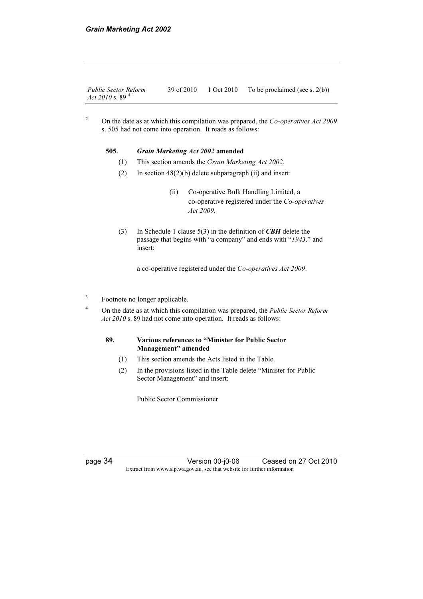| <b>Public Sector Reform</b> | 39 of 2010 | 1 Oct 2010 | To be proclaimed (see s. $2(b)$ ) |
|-----------------------------|------------|------------|-----------------------------------|
| Act 2010 s. 89 <sup>4</sup> |            |            |                                   |

2 On the date as at which this compilation was prepared, the Co-operatives Act 2009 s. 505 had not come into operation. It reads as follows:

# 505. Grain Marketing Act 2002 amended<br>(1) This section amends the Grain Marke

- (1) This section amends the *Grain Marketing Act 2002*.<br>(2) In section  $48(2)(b)$  delete subparagraph (ii) and inser-
- In section  $48(2)(b)$  delete subparagraph (ii) and insert:
	- (ii) Co-operative Bulk Handling Limited, a co-operative registered under the Co-operatives Act 2009,
- (3) In Schedule 1 clause  $5(3)$  in the definition of *CBH* delete the passage that begins with "a company" and ends with "1943." and insert:

a co-operative registered under the Co-operatives Act 2009.

- 3 Footnote no longer applicable.
	- On the date as at which this compilation was prepared, the Public Sector Reform Act 2010 s. 89 had not come into operation. It reads as follows:

#### 89. Various references to "Minister for Public Sector Management" amended

- (1) This section amends the Acts listed in the Table.
- (2) In the provisions listed in the Table delete "Minister for Public Sector Management" and insert:

Public Sector Commissioner

4

page 34 Version 00-j0-06 Ceased on 27 Oct 2010 Extract from www.slp.wa.gov.au, see that website for further information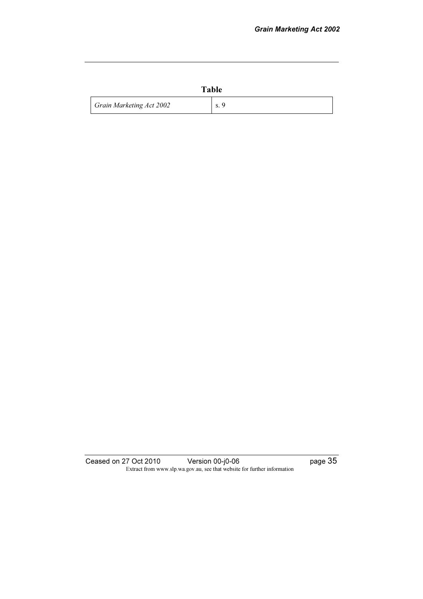|                          | Table |
|--------------------------|-------|
| Grain Marketing Act 2002 | S.    |

Ceased on 27 Oct 2010 Version 00-j0-06 **page 35**  $\mathbf{F}_{\text{max}}$  from which since the further information function for further information